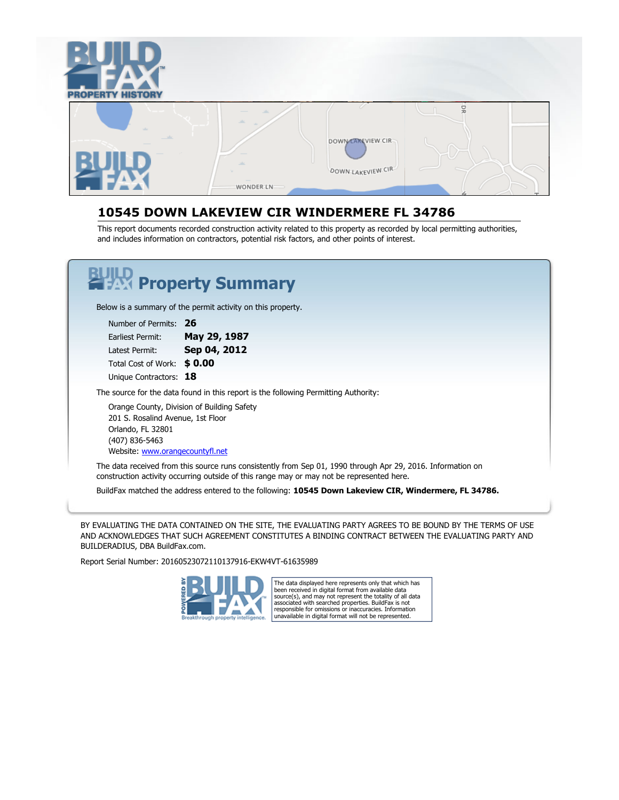



#### **10545 DOWN LAKEVIEW CIR WINDERMERE FL 34786**

This report documents recorded construction activity related to this property as recorded by local permitting authorities, and includes information on contractors, potential risk factors, and other points of interest.

# **Property Summary**

Below is a summary of the permit activity on this property.

Number of Permits: **26** Earliest Permit: **May 29, 1987** Latest Permit: **Sep 04, 2012** Total Cost of Work: **\$ 0.00** Unique Contractors: **18**

The source for the data found in this report is the following Permitting Authority:

Orange County, Division of Building Safety 201 S. Rosalind Avenue, 1st Floor Orlando, FL 32801 (407) 836-5463 Website: [www.orangecountyfl.net](http://www.orangecountyfl.net)

The data received from this source runs consistently from Sep 01, 1990 through Apr 29, 2016. Information on construction activity occurring outside of this range may or may not be represented here.

BuildFax matched the address entered to the following: **10545 Down Lakeview CIR, Windermere, FL 34786.**

BY EVALUATING THE DATA CONTAINED ON THE SITE, THE EVALUATING PARTY AGREES TO BE BOUND BY THE TERMS OF USE AND ACKNOWLEDGES THAT SUCH AGREEMENT CONSTITUTES A BINDING CONTRACT BETWEEN THE EVALUATING PARTY AND BUILDERADIUS, DBA BuildFax.com.

Report Serial Number: 20160523072110137916-EKW4VT-61635989



The data displayed here represents only that which has been received in digital format from available data source(s), and may not represent the totality of all data associated with searched properties. BuildFax is not responsible for omissions or inaccuracies. Information unavailable in digital format will not be represented.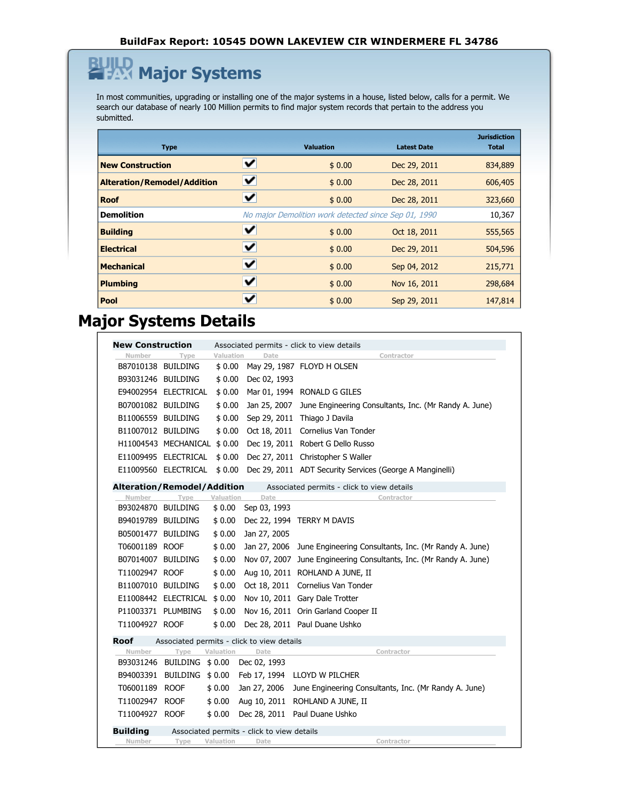### **Major Systems** 坠

In most communities, upgrading or installing one of the major systems in a house, listed below, calls for a permit. We search our database of nearly 100 Million permits to find major system records that pertain to the address you submitted.

| <b>Type</b>                        |   | <b>Valuation</b>                                     | <b>Latest Date</b> | <b>Jurisdiction</b><br><b>Total</b> |
|------------------------------------|---|------------------------------------------------------|--------------------|-------------------------------------|
| <b>New Construction</b>            | ✔ | \$0.00                                               | Dec 29, 2011       | 834,889                             |
| <b>Alteration/Remodel/Addition</b> | ✔ | \$0.00                                               | Dec 28, 2011       | 606,405                             |
| <b>Roof</b>                        | ✓ | \$0.00                                               | Dec 28, 2011       | 323,660                             |
| <b>Demolition</b>                  |   | No major Demolition work detected since Sep 01, 1990 |                    | 10,367                              |
| <b>Building</b>                    | V | \$0.00                                               | Oct 18, 2011       | 555,565                             |
| <b>Electrical</b>                  | V | \$0.00                                               | Dec 29, 2011       | 504,596                             |
| <b>Mechanical</b>                  | ✔ | \$0.00                                               | Sep 04, 2012       | 215,771                             |
| <b>Plumbing</b>                    | ✔ | \$0.00                                               | Nov 16, 2011       | 298,684                             |
| Pool                               | ັ | \$0.00                                               | Sep 29, 2011       | 147,814                             |

### **Major Systems Details**

| <b>New Construction</b>                                       |                              |                  |                                            | Associated permits - click to view details                         |
|---------------------------------------------------------------|------------------------------|------------------|--------------------------------------------|--------------------------------------------------------------------|
| Number                                                        | Type                         | <b>Valuation</b> | Dat                                        | Contractor                                                         |
| B87010138 BUILDING                                            |                              | \$ 0.00          |                                            | May 29, 1987 FLOYD H OLSEN                                         |
| B93031246 BUILDING                                            |                              | \$0.00           | Dec 02, 1993                               |                                                                    |
|                                                               | E94002954 ELECTRICAL         | \$0.00           |                                            | Mar 01, 1994 RONALD G GILES                                        |
| B07001082 BUILDING                                            |                              | \$0.00           |                                            | Jan 25, 2007 June Engineering Consultants, Inc. (Mr Randy A. June) |
| B11006559 BUILDING                                            |                              | \$ 0.00          |                                            | Sep 29, 2011 Thiago J Davila                                       |
| B11007012 BUILDING                                            |                              | \$ 0.00          |                                            | Oct 18, 2011 Cornelius Van Tonder                                  |
|                                                               | H11004543 MECHANICAL \$ 0.00 |                  |                                            | Dec 19, 2011 Robert G Dello Russo                                  |
|                                                               | E11009495 ELECTRICAL         | \$0.00           |                                            | Dec 27, 2011 Christopher S Waller                                  |
|                                                               | E11009560 ELECTRICAL         | \$0.00           |                                            | Dec 29, 2011 ADT Security Services (George A Manginelli)           |
| <b>Alteration/Remodel/Addition</b>                            |                              |                  |                                            | Associated permits - click to view details                         |
| Number                                                        | Type                         | Valuation        | Date                                       | Contractor                                                         |
| B93024870 BUILDING                                            |                              | \$0.00           | Sep 03, 1993                               |                                                                    |
| B94019789 BUILDING                                            |                              | \$0.00           |                                            | Dec 22, 1994 TERRY M DAVIS                                         |
| B05001477 BUILDING                                            |                              | \$0.00           | Jan 27, 2005                               |                                                                    |
| T06001189 ROOF                                                |                              | \$0.00           |                                            | Jan 27, 2006 June Engineering Consultants, Inc. (Mr Randy A. June) |
| B07014007 BUILDING                                            |                              | \$0.00           | Nov 07, 2007                               | June Engineering Consultants, Inc. (Mr Randy A. June)              |
| T11002947 ROOF                                                |                              | \$0.00           |                                            | Aug 10, 2011 ROHLAND A JUNE, II                                    |
| B11007010 BUILDING                                            |                              | \$0.00           |                                            | Oct 18, 2011 Cornelius Van Tonder                                  |
|                                                               | E11008442 ELECTRICAL         | \$0.00           |                                            | Nov 10, 2011 Gary Dale Trotter                                     |
| P11003371 PLUMBING                                            |                              | \$0.00           |                                            | Nov 16, 2011 Orin Garland Cooper II                                |
| T11004927 ROOF                                                |                              | \$0.00           |                                            | Dec 28, 2011 Paul Duane Ushko                                      |
| Roof                                                          |                              |                  | Associated permits - click to view details |                                                                    |
| Number                                                        | Type                         | Valuation        | Date                                       | Contractor                                                         |
| B93031246                                                     | BUILDING \$0.00              |                  | Dec 02, 1993                               |                                                                    |
| B94003391                                                     | <b>BUILDING</b>              | \$0.00           | Feb 17, 1994                               | LLOYD W PILCHER                                                    |
| T06001189 ROOF                                                |                              | \$0.00           | Jan 27, 2006                               | June Engineering Consultants, Inc. (Mr Randy A. June)              |
| T11002947 ROOF                                                |                              | \$0.00           | Aug 10, 2011                               | ROHLAND A JUNE, II                                                 |
| T11004927 ROOF                                                |                              | \$0.00           |                                            | Dec 28, 2011 Paul Duane Ushko                                      |
| <b>Building</b><br>Associated permits - click to view details |                              |                  |                                            |                                                                    |
| Number                                                        | Type                         | Valuation        | Date                                       | Contractor                                                         |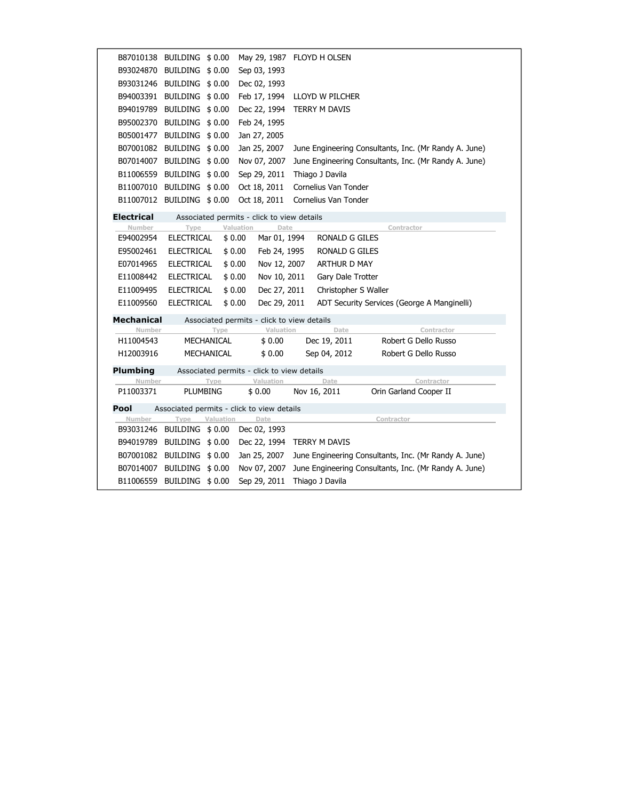| B87010138         | BUILDING \$0.00            |            |                                            | May 29, 1987 FLOYD H OLSEN |                                                       |
|-------------------|----------------------------|------------|--------------------------------------------|----------------------------|-------------------------------------------------------|
| B93024870         | BUILDING \$0.00            |            | Sep 03, 1993                               |                            |                                                       |
| B93031246         | BUILDING \$0.00            |            | Dec 02, 1993                               |                            |                                                       |
|                   | B94003391 BUILDING \$ 0.00 |            | Feb 17, 1994                               | LLOYD W PILCHER            |                                                       |
| B94019789         | BUILDING \$0.00            |            | Dec 22, 1994                               | TERRY M DAVIS              |                                                       |
| B95002370         | BUILDING \$0.00            |            | Feb 24, 1995                               |                            |                                                       |
| B05001477         | BUILDING \$0.00            |            | Jan 27, 2005                               |                            |                                                       |
| B07001082         | BUILDING \$0.00            |            | Jan 25, 2007                               |                            | June Engineering Consultants, Inc. (Mr Randy A. June) |
| B07014007         | BUILDING \$0.00            |            | Nov 07, 2007                               |                            | June Engineering Consultants, Inc. (Mr Randy A. June) |
| B11006559         | BUILDING \$0.00            |            | Sep 29, 2011                               | Thiago J Davila            |                                                       |
| B11007010         | BUILDING \$0.00            |            | Oct 18, 2011                               | Cornelius Van Tonder       |                                                       |
| B11007012         | BUILDING \$0.00            |            | Oct 18, 2011                               | Cornelius Van Tonder       |                                                       |
| <b>Electrical</b> |                            |            | Associated permits - click to view details |                            |                                                       |
| Number            | Type                       |            | Valuation<br>Date                          |                            | Contractor                                            |
| E94002954         | <b>ELECTRICAL</b>          |            | Mar 01, 1994<br>\$0.00                     | <b>RONALD G GILES</b>      |                                                       |
| E95002461         | <b>ELECTRICAL</b>          |            | \$0.00<br>Feb 24, 1995                     | RONALD G GILES             |                                                       |
| E07014965         | <b>ELECTRICAL</b>          |            | Nov 12, 2007<br>\$0.00                     | ARTHUR D MAY               |                                                       |
| E11008442         | <b>ELECTRICAL</b>          |            | \$0.00<br>Nov 10, 2011                     | Gary Dale Trotter          |                                                       |
| E11009495         | <b>ELECTRICAL</b>          |            | \$0.00<br>Dec 27, 2011                     | Christopher S Waller       |                                                       |
| E11009560         | <b>ELECTRICAL</b>          |            | \$0.00<br>Dec 29, 2011                     |                            | ADT Security Services (George A Manginelli)           |
| <b>Mechanical</b> |                            |            | Associated permits - click to view details |                            |                                                       |
| Number            |                            | Type       | Valuation                                  | Date                       | Contractor                                            |
| H11004543         |                            | MECHANICAL | \$0.00                                     | Dec 19, 2011               | Robert G Dello Russo                                  |
| H12003916         |                            | MECHANICAL | \$0.00                                     | Sep 04, 2012               | Robert G Dello Russo                                  |
| Plumbing          |                            |            | Associated permits - click to view details |                            |                                                       |
| Number            |                            | Type       | Valuation                                  | Date                       | Contractor                                            |
| P11003371         | PLUMBING                   |            | \$ 0.00                                    | Nov 16, 2011               | Orin Garland Cooper II                                |
| Pool              |                            |            | Associated permits - click to view details |                            |                                                       |
| Number            | Type                       | Valuation  | Date                                       |                            | Contractor                                            |
| B93031246         | BUILDING                   | \$ 0.00    | Dec 02, 1993                               |                            |                                                       |
| B94019789         | BUILDING \$0.00            |            | Dec 22, 1994                               | TERRY M DAVIS              |                                                       |
| B07001082         | BUILDING                   | \$0.00     | Jan 25, 2007                               |                            | June Engineering Consultants, Inc. (Mr Randy A. June) |
| B07014007         | BUILDING \$0.00            |            | Nov 07, 2007                               |                            | June Engineering Consultants, Inc. (Mr Randy A. June) |
| B11006559         | <b>BUILDING</b>            | \$0.00     | Sep 29, 2011                               | Thiago J Davila            |                                                       |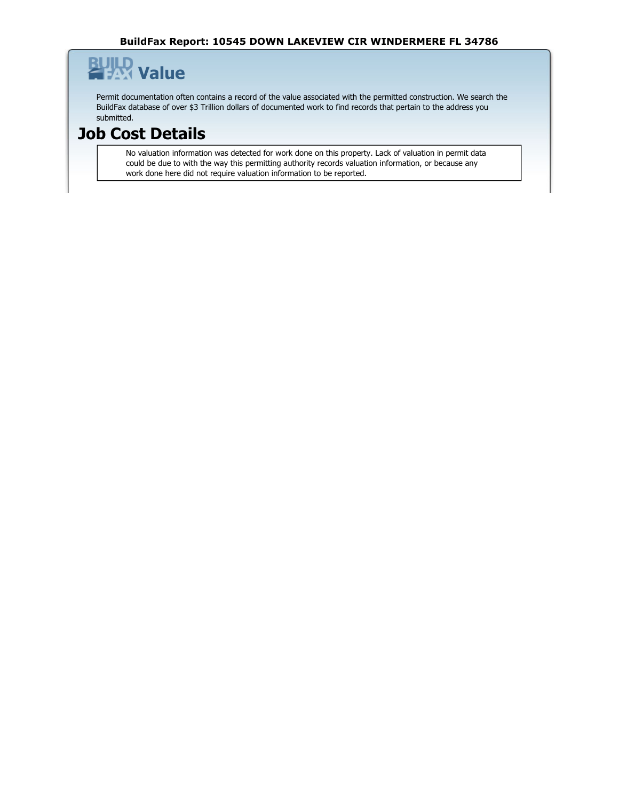#### β **Value**

Permit documentation often contains a record of the value associated with the permitted construction. We search the BuildFax database of over \$3 Trillion dollars of documented work to find records that pertain to the address you submitted.

### **Job Cost Details**

No valuation information was detected for work done on this property. Lack of valuation in permit data could be due to with the way this permitting authority records valuation information, or because any work done here did not require valuation information to be reported.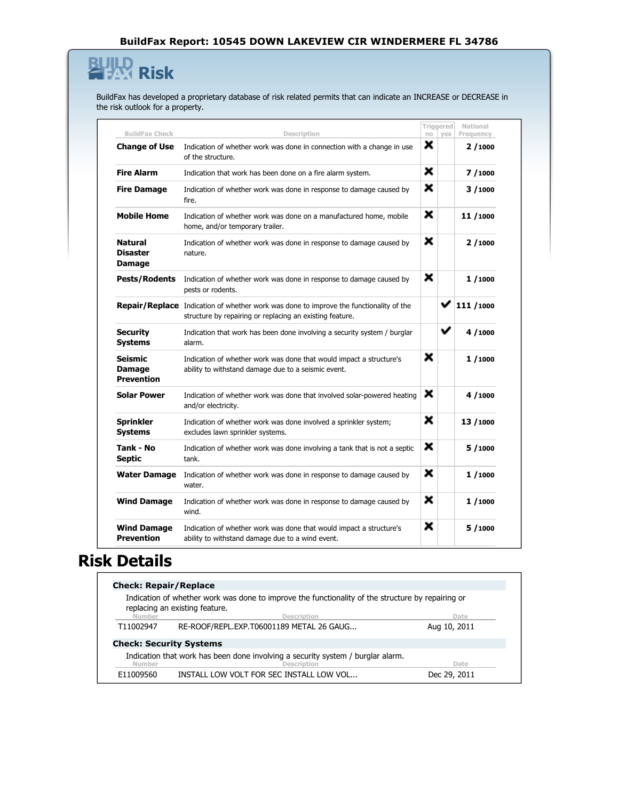### **Risk** β

BuildFax has developed a proprietary database of risk related permits that can indicate an INCREASE or DECREASE in the risk outlook for a property.

|                                               |                                                                                                                                                           |    | Triggered | National  |
|-----------------------------------------------|-----------------------------------------------------------------------------------------------------------------------------------------------------------|----|-----------|-----------|
| <b>BuildFax Check</b>                         | Description                                                                                                                                               | no | yes       | Frequency |
| <b>Change of Use</b>                          | Indication of whether work was done in connection with a change in use<br>of the structure.                                                               | ×  |           | 2/1000    |
| <b>Fire Alarm</b>                             | Indication that work has been done on a fire alarm system.                                                                                                | ×  |           | 7/1000    |
| <b>Fire Damage</b>                            | Indication of whether work was done in response to damage caused by<br>fire.                                                                              | ×  |           | 3/1000    |
| <b>Mobile Home</b>                            | Indication of whether work was done on a manufactured home, mobile<br>home, and/or temporary trailer.                                                     | ×  |           | 11/1000   |
| <b>Natural</b><br><b>Disaster</b><br>Damage   | Indication of whether work was done in response to damage caused by<br>nature.                                                                            | ×  |           | 2/1000    |
| <b>Pests/Rodents</b>                          | Indication of whether work was done in response to damage caused by<br>pests or rodents.                                                                  | ×  |           | 1/1000    |
|                                               | <b>Repair/Replace</b> Indication of whether work was done to improve the functionality of the<br>structure by repairing or replacing an existing feature. |    |           | 111 /1000 |
| <b>Security</b><br><b>Systems</b>             | Indication that work has been done involving a security system / burglar<br>alarm.                                                                        |    | ✓         | 4/1000    |
| Seismic<br><b>Damage</b><br><b>Prevention</b> | Indication of whether work was done that would impact a structure's<br>ability to withstand damage due to a seismic event.                                | ×  |           | 1/1000    |
| <b>Solar Power</b>                            | Indication of whether work was done that involved solar-powered heating<br>and/or electricity.                                                            | ×  |           | 4/1000    |
| <b>Sprinkler</b><br><b>Systems</b>            | Indication of whether work was done involved a sprinkler system;<br>excludes lawn sprinkler systems.                                                      | ×  |           | 13/1000   |
| Tank - No<br><b>Septic</b>                    | Indication of whether work was done involving a tank that is not a septic<br>tank.                                                                        | ×  |           | 5/1000    |
| <b>Water Damage</b>                           | Indication of whether work was done in response to damage caused by<br>water.                                                                             | ×  |           | 1/1000    |
| <b>Wind Damage</b>                            | Indication of whether work was done in response to damage caused by<br>wind.                                                                              | ×  |           | 1/1000    |
| <b>Wind Damage</b><br>Prevention              | Indication of whether work was done that would impact a structure's<br>ability to withstand damage due to a wind event.                                   | ×  |           | 5/1000    |
|                                               |                                                                                                                                                           |    |           |           |

### **Risk Details**

| <b>Check: Repair/Replace</b>                                                                                            |                                                                                                                                     |              |  |  |  |
|-------------------------------------------------------------------------------------------------------------------------|-------------------------------------------------------------------------------------------------------------------------------------|--------------|--|--|--|
|                                                                                                                         | Indication of whether work was done to improve the functionality of the structure by repairing or<br>replacing an existing feature. |              |  |  |  |
| Number                                                                                                                  | <b>Description</b>                                                                                                                  | Date         |  |  |  |
| T11002947                                                                                                               | RE-ROOF/REPL.EXP.T06001189 METAL 26 GAUG                                                                                            | Aug 10, 2011 |  |  |  |
| <b>Check: Security Systems</b>                                                                                          |                                                                                                                                     |              |  |  |  |
| Indication that work has been done involving a security system / burglar alarm.<br><b>Description</b><br>Number<br>Date |                                                                                                                                     |              |  |  |  |
| E11009560                                                                                                               | INSTALL LOW VOLT FOR SEC INSTALL LOW VOL                                                                                            | Dec 29, 2011 |  |  |  |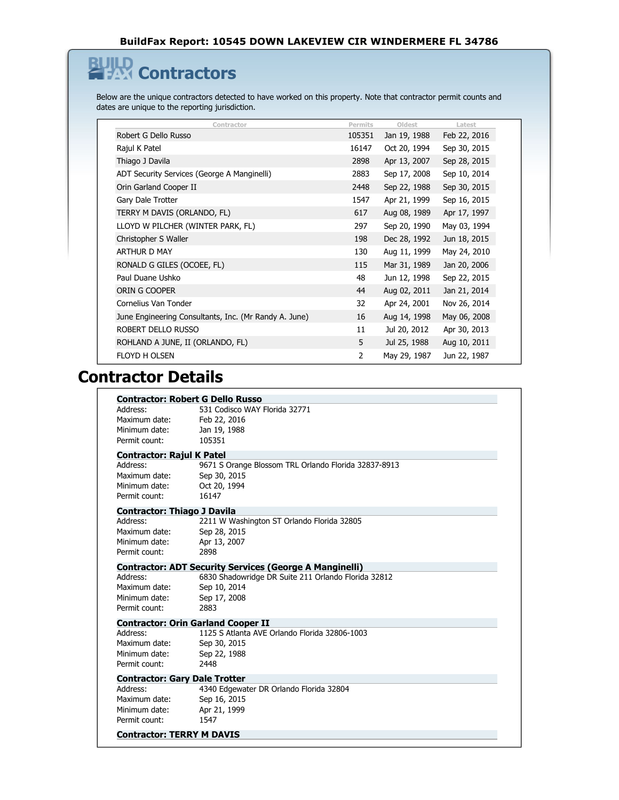#### **Contractors** β

Below are the unique contractors detected to have worked on this property. Note that contractor permit counts and dates are unique to the reporting jurisdiction.

| Contractor                                            | Permits | Oldest       | Latest       |
|-------------------------------------------------------|---------|--------------|--------------|
| Robert G Dello Russo                                  | 105351  | Jan 19, 1988 | Feb 22, 2016 |
| Rajul K Patel                                         | 16147   | Oct 20, 1994 | Sep 30, 2015 |
| Thiago J Davila                                       | 2898    | Apr 13, 2007 | Sep 28, 2015 |
| ADT Security Services (George A Manginelli)           | 2883    | Sep 17, 2008 | Sep 10, 2014 |
| Orin Garland Cooper II                                | 2448    | Sep 22, 1988 | Sep 30, 2015 |
| Gary Dale Trotter                                     | 1547    | Apr 21, 1999 | Sep 16, 2015 |
| TERRY M DAVIS (ORLANDO, FL)                           | 617     | Aug 08, 1989 | Apr 17, 1997 |
| LLOYD W PILCHER (WINTER PARK, FL)                     | 297     | Sep 20, 1990 | May 03, 1994 |
| Christopher S Waller                                  | 198     | Dec 28, 1992 | Jun 18, 2015 |
| <b>ARTHUR D MAY</b>                                   | 130     | Aug 11, 1999 | May 24, 2010 |
| RONALD G GILES (OCOEE, FL)                            | 115     | Mar 31, 1989 | Jan 20, 2006 |
| Paul Duane Ushko                                      | 48      | Jun 12, 1998 | Sep 22, 2015 |
| ORIN G COOPER                                         | 44      | Aug 02, 2011 | Jan 21, 2014 |
| Cornelius Van Tonder                                  | 32      | Apr 24, 2001 | Nov 26, 2014 |
| June Engineering Consultants, Inc. (Mr Randy A. June) | 16      | Aug 14, 1998 | May 06, 2008 |
| ROBERT DELLO RUSSO                                    | 11      | Jul 20, 2012 | Apr 30, 2013 |
| ROHLAND A JUNE, II (ORLANDO, FL)                      | 5       | Jul 25, 1988 | Aug 10, 2011 |
| <b>FLOYD H OLSEN</b>                                  | 2       | May 29, 1987 | Jun 22, 1987 |
|                                                       |         |              |              |

### **Contractor Details**

|                                      | <b>Contractor: Robert G Dello Russo</b>                        |
|--------------------------------------|----------------------------------------------------------------|
| Address:                             | 531 Codisco WAY Florida 32771                                  |
| Maximum date:<br>Minimum date:       | Feb 22, 2016                                                   |
| Permit count:                        | Jan 19, 1988<br>105351                                         |
|                                      |                                                                |
| <b>Contractor: Rajul K Patel</b>     |                                                                |
| Address:                             | 9671 S Orange Blossom TRL Orlando Florida 32837-8913           |
| Maximum date:                        | Sep 30, 2015                                                   |
| Minimum date:                        | Oct 20, 1994                                                   |
| Permit count:                        | 16147                                                          |
| <b>Contractor: Thiago J Davila</b>   |                                                                |
| Address:                             | 2211 W Washington ST Orlando Florida 32805                     |
| Maximum date:                        | Sep 28, 2015                                                   |
| Minimum date:                        | Apr 13, 2007                                                   |
| Permit count:                        | 2898                                                           |
|                                      | <b>Contractor: ADT Security Services (George A Manginelli)</b> |
| Address:                             | 6830 Shadowridge DR Suite 211 Orlando Florida 32812            |
| Maximum date:                        | Sep 10, 2014                                                   |
| Minimum date:                        | Sep 17, 2008                                                   |
| Permit count:                        | 2883                                                           |
|                                      | <b>Contractor: Orin Garland Cooper II</b>                      |
| Address:                             | 1125 S Atlanta AVE Orlando Florida 32806-1003                  |
| Maximum date:                        | Sep 30, 2015                                                   |
| Minimum date:                        | Sep 22, 1988                                                   |
| Permit count:                        | 2448                                                           |
| <b>Contractor: Gary Dale Trotter</b> |                                                                |
| Address:                             | 4340 Edgewater DR Orlando Florida 32804                        |
| Maximum date:                        | Sep 16, 2015                                                   |
| Minimum date:                        | Apr 21, 1999                                                   |
| Permit count:                        | 1547                                                           |
| <b>Contractor: TERRY M DAVIS</b>     |                                                                |
|                                      |                                                                |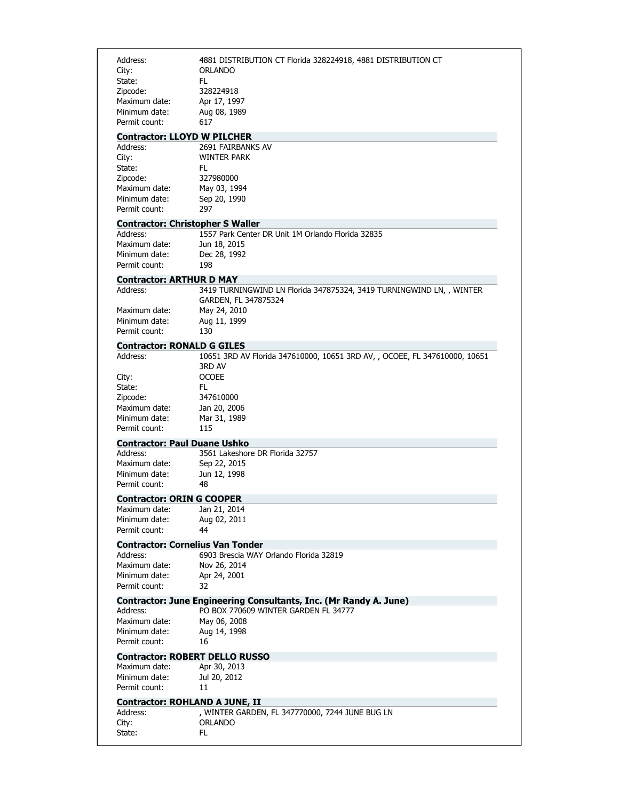| Address:<br>City:<br>State:<br>Zipcode:<br>Maximum date:<br>Minimum date:<br>Permit count: | 4881 DISTRIBUTION CT Florida 328224918, 4881 DISTRIBUTION CT<br>ORLANDO<br>FL.<br>328224918<br>Apr 17, 1997<br>Aug 08, 1989<br>617       |
|--------------------------------------------------------------------------------------------|------------------------------------------------------------------------------------------------------------------------------------------|
|                                                                                            |                                                                                                                                          |
| Address:<br>City:<br>State:<br>Zipcode:<br>Maximum date:<br>Minimum date:<br>Permit count: | <b>Contractor: LLOYD W PILCHER</b><br>2691 FAIRBANKS AV<br><b>WINTER PARK</b><br>FL.<br>327980000<br>May 03, 1994<br>Sep 20, 1990<br>297 |
|                                                                                            |                                                                                                                                          |
| Address:                                                                                   | <b>Contractor: Christopher S Waller</b><br>1557 Park Center DR Unit 1M Orlando Florida 32835                                             |
| Maximum date:<br>Minimum date:<br>Permit count:                                            | Jun 18, 2015<br>Dec 28, 1992<br>198                                                                                                      |
| <b>Contractor: ARTHUR D MAY</b>                                                            |                                                                                                                                          |
| Address:<br>Maximum date:                                                                  | 3419 TURNINGWIND LN Florida 347875324, 3419 TURNINGWIND LN, , WINTER<br>GARDEN, FL 347875324<br>May 24, 2010                             |
| Minimum date:<br>Permit count:                                                             | Aug 11, 1999<br>130                                                                                                                      |
| <b>Contractor: RONALD G GILES</b>                                                          |                                                                                                                                          |
| Address:                                                                                   | 10651 3RD AV Florida 347610000, 10651 3RD AV, , OCOEE, FL 347610000, 10651<br>3RD AV                                                     |
| City:<br>State:<br>Zipcode:<br>Maximum date:<br>Minimum date:<br>Permit count:             | <b>OCOEE</b><br>FL.<br>347610000<br>Jan 20, 2006<br>Mar 31, 1989<br>115                                                                  |
| <b>Contractor: Paul Duane Ushko</b>                                                        |                                                                                                                                          |
| Address:<br>Maximum date:<br>Minimum date:<br>Permit count:                                | 3561 Lakeshore DR Florida 32757<br>Sep 22, 2015<br>Jun 12, 1998<br>48                                                                    |
| <b>Contractor: ORIN G COOPER</b>                                                           |                                                                                                                                          |
| Maximum date:<br>Minimum date:<br>Permit count:                                            | Jan 21, 2014<br>Aug 02, 2011<br>44                                                                                                       |
|                                                                                            | <b>Contractor: Cornelius Van Tonder</b>                                                                                                  |
| Address:<br>Maximum date:<br>Minimum date:<br>Permit count:                                | 6903 Brescia WAY Orlando Florida 32819<br>Nov 26, 2014<br>Apr 24, 2001<br>32                                                             |
|                                                                                            | Contractor: June Engineering Consultants, Inc. (Mr Randy A. June)                                                                        |
| Address:<br>Maximum date:<br>Minimum date:<br>Permit count:                                | PO BOX 770609 WINTER GARDEN FL 34777<br>May 06, 2008<br>Aug 14, 1998<br>16                                                               |
|                                                                                            | <b>Contractor: ROBERT DELLO RUSSO</b>                                                                                                    |
| Maximum date:<br>Minimum date:<br>Permit count:                                            | Apr 30, 2013<br>Jul 20, 2012<br>11                                                                                                       |
|                                                                                            | <b>Contractor: ROHLAND A JUNE, II</b>                                                                                                    |
| Address:<br>City:<br>State:                                                                | , WINTER GARDEN, FL 347770000, 7244 JUNE BUG LN<br><b>ORLANDO</b><br>FL.                                                                 |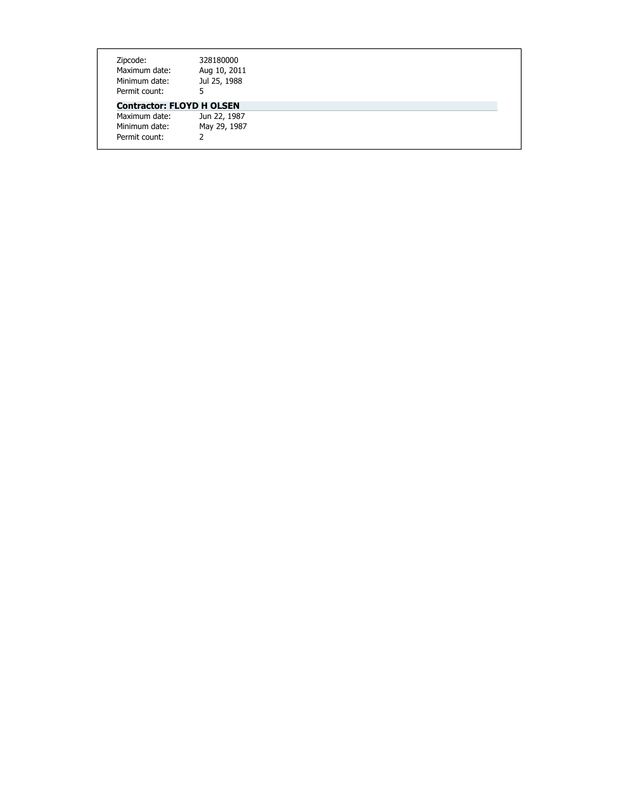| Zipcode:                         | 328180000    |  |
|----------------------------------|--------------|--|
| Maximum date:                    | Aug 10, 2011 |  |
| Minimum date:                    | Jul 25, 1988 |  |
| Permit count:                    |              |  |
| <b>Contractor: FLOYD H OLSEN</b> |              |  |
| Maximum date:                    | Jun 22, 1987 |  |
| Minimum date:                    | May 29, 1987 |  |
| Permit count:                    | っ            |  |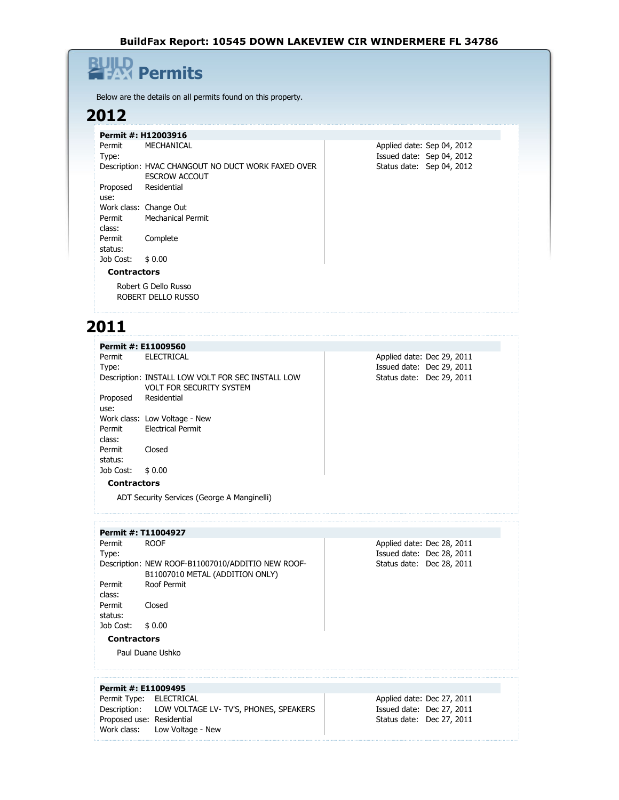### **Permits** 의

Below are the details on all permits found on this property.

### **2012**

|                    | Permit #: H12003916                                |  |  |                            |  |  |
|--------------------|----------------------------------------------------|--|--|----------------------------|--|--|
| Permit             | MECHANICAL                                         |  |  | Applied date: Sep 04, 2012 |  |  |
| Type:              |                                                    |  |  | Issued date: Sep 04, 2012  |  |  |
|                    | Description: HVAC CHANGOUT NO DUCT WORK FAXED OVER |  |  | Status date: Sep 04, 2012  |  |  |
|                    | <b>ESCROW ACCOUT</b>                               |  |  |                            |  |  |
| Proposed           | Residential                                        |  |  |                            |  |  |
| use:               |                                                    |  |  |                            |  |  |
|                    | Work class: Change Out                             |  |  |                            |  |  |
| Permit             | Mechanical Permit                                  |  |  |                            |  |  |
| class:             |                                                    |  |  |                            |  |  |
| Permit             | Complete                                           |  |  |                            |  |  |
| status:            |                                                    |  |  |                            |  |  |
| Job Cost:          | \$0.00                                             |  |  |                            |  |  |
| <b>Contractors</b> |                                                    |  |  |                            |  |  |
|                    | Robert G Dello Russo                               |  |  |                            |  |  |
|                    | ROBERT DELLO RUSSO                                 |  |  |                            |  |  |
|                    |                                                    |  |  |                            |  |  |

### **2011**

|                    | Permit #: E11009560                                                                  |                            |
|--------------------|--------------------------------------------------------------------------------------|----------------------------|
| Permit             | <b>ELECTRICAL</b>                                                                    | Applied date: Dec 29, 2011 |
| Type:              |                                                                                      | Issued date: Dec 29, 2011  |
|                    | Description: INSTALL LOW VOLT FOR SEC INSTALL LOW<br><b>VOLT FOR SECURITY SYSTEM</b> | Status date: Dec 29, 2011  |
| Proposed<br>use:   | Residential                                                                          |                            |
|                    | Work class: Low Voltage - New                                                        |                            |
| Permit             | <b>Electrical Permit</b>                                                             |                            |
| class:             |                                                                                      |                            |
| Permit             | Closed                                                                               |                            |
| status:            |                                                                                      |                            |
| Job Cost:          | \$0.00                                                                               |                            |
| <b>Contractors</b> |                                                                                      |                            |
|                    | ADT Security Services (George A Manginelli)                                          |                            |
|                    | Permit #: T11004927                                                                  |                            |
| Permit             | <b>ROOF</b>                                                                          | Applied date: Dec 28, 2011 |
| Type:              |                                                                                      | Issued date: Dec 28, 2011  |
|                    | Description: NEW ROOF-B11007010/ADDITIO NEW ROOF-<br>B11007010 METAL (ADDITION ONLY) | Status date: Dec 28, 2011  |
| Permit             | Roof Permit                                                                          |                            |
| class:             |                                                                                      |                            |
| Permit             | Closed                                                                               |                            |
| status:            |                                                                                      |                            |

Job Cost: \$ 0.00

**Contractors**

Paul Duane Ushko

| Permit #: E11009495       |                                                    |                            |  |
|---------------------------|----------------------------------------------------|----------------------------|--|
| Permit Type: ELECTRICAL   |                                                    | Applied date: Dec 27, 2011 |  |
|                           | Description: LOW VOLTAGE LV-TV'S, PHONES, SPEAKERS | Issued date: Dec 27, 2011  |  |
| Proposed use: Residential |                                                    | Status date: Dec 27, 2011  |  |
|                           | Work class: Low Voltage - New                      |                            |  |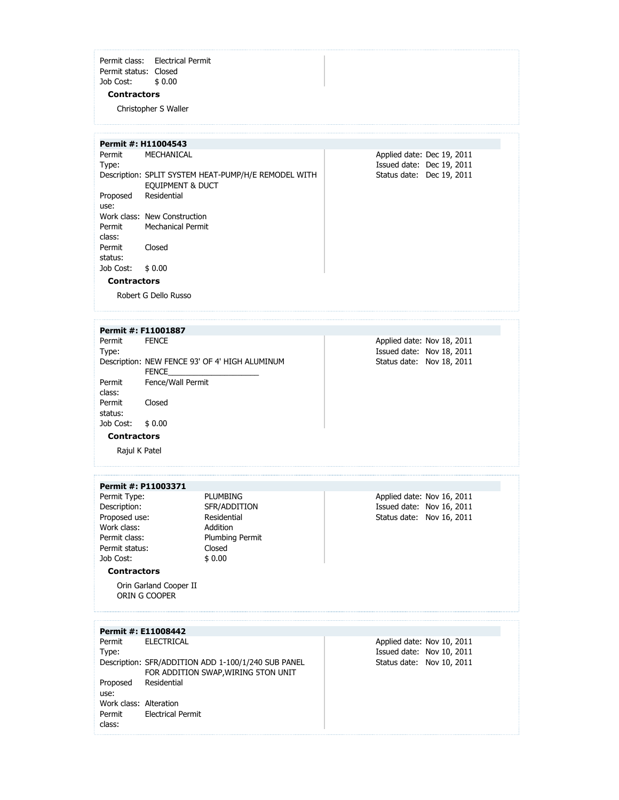Permit class: Electrical Permit Permit status: Closed Job Cost: \$ 0.00

#### **Contractors**

Christopher S Waller

**Permit #: H11004543**

Permit Type: MECHANICAL Description: SPLIT SYSTEM HEAT-PUMP/H/E REMODEL WITH EQUIPMENT & DUCT Proposed use: Residential Work class: New Construction Permit class: Mechanical Permit Permit status: Closed Job Cost: \$ 0.00

Applied date: Dec 19, 2011 Issued date: Dec 19, 2011 Status date: Dec 19, 2011

#### **Contractors**

Robert G Dello Russo

#### **Permit #: F11001887** Permit Type: **FENCE** Description: NEW FENCE 93' OF 4' HIGH ALUMINUM FENCE Permit class: Fence/Wall Permit Permit Closed

Applied date: Nov 18, 2011 Issued date: Nov 18, 2011 Status date: Nov 18, 2011

Job Cost: \$ 0.00 **Contractors**

status:

Rajul K Patel

#### **Permit #: P11003371**

Permit Type: PLUMBING Description: SFR/ADDITION Proposed use: Residential Work class: Addition Permit class: Plumbing Permit Permit status: Closed Job Cost: \$ 0.00

Applied date: Nov 16, 2011 Issued date: Nov 16, 2011 Status date: Nov 16, 2011

#### **Contractors**

Orin Garland Cooper II ORIN G COOPER

|                        | Permit #: E11008442                                 |                            |
|------------------------|-----------------------------------------------------|----------------------------|
|                        | Permit ELECTRICAL                                   | Applied date: Nov 10, 2011 |
| Type:                  |                                                     | Issued date: Nov 10, 2011  |
|                        | Description: SFR/ADDITION ADD 1-100/1/240 SUB PANEL | Status date: Nov 10, 2011  |
|                        | FOR ADDITION SWAP, WIRING 5TON UNIT                 |                            |
| Proposed               | Residential                                         |                            |
| use:                   |                                                     |                            |
| Work class: Alteration |                                                     |                            |
| Permit                 | <b>Electrical Permit</b>                            |                            |
| class:                 |                                                     |                            |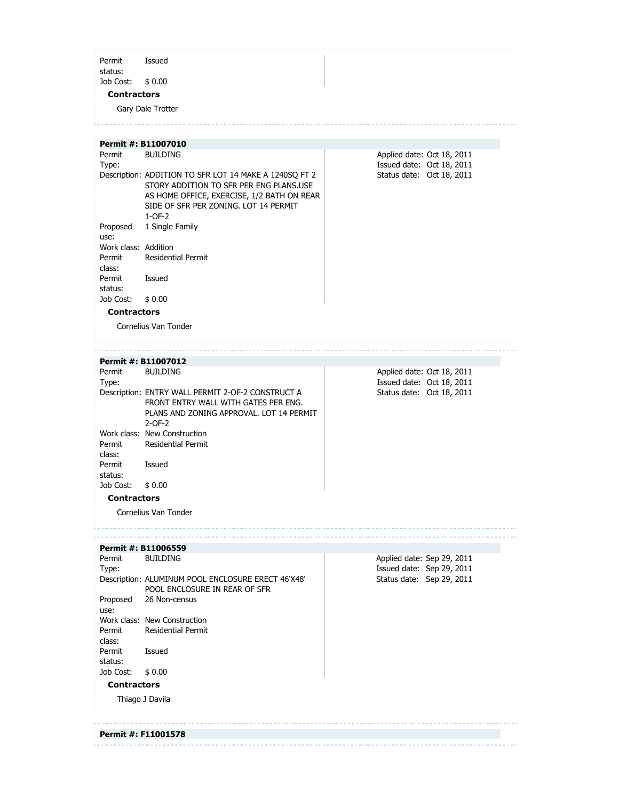Permit status: Issued Job Cost: \$ 0.00

#### **Contractors**

Gary Dale Trotter

|                      | Permit #: B11007010                                                                                                                                                                                  |  |                                                         |  |
|----------------------|------------------------------------------------------------------------------------------------------------------------------------------------------------------------------------------------------|--|---------------------------------------------------------|--|
| Permit<br>Type:      | <b>BUILDING</b>                                                                                                                                                                                      |  | Applied date: Oct 18, 2011<br>Issued date: Oct 18, 2011 |  |
|                      | Description: ADDITION TO SFR LOT 14 MAKE A 1240SQ FT 2<br>STORY ADDITION TO SFR PER ENG PLANS.USE<br>AS HOME OFFICE, EXERCISE, 1/2 BATH ON REAR<br>SIDE OF SER PER ZONING, LOT 14 PERMIT<br>$1-OF-2$ |  | Status date: Oct 18, 2011                               |  |
| Proposed             | 1 Single Family                                                                                                                                                                                      |  |                                                         |  |
| use:                 |                                                                                                                                                                                                      |  |                                                         |  |
| Work class: Addition |                                                                                                                                                                                                      |  |                                                         |  |
| Permit<br>class:     | <b>Residential Permit</b>                                                                                                                                                                            |  |                                                         |  |
| Permit<br>status:    | Issued                                                                                                                                                                                               |  |                                                         |  |
| Job Cost:            | \$0.00                                                                                                                                                                                               |  |                                                         |  |
| <b>Contractors</b>   |                                                                                                                                                                                                      |  |                                                         |  |
|                      | Cornelius Van Tonder                                                                                                                                                                                 |  |                                                         |  |

|           | Permit #: B11007012                               |  |                            |  |  |
|-----------|---------------------------------------------------|--|----------------------------|--|--|
| Permit    | <b>BUILDING</b>                                   |  | Applied date: Oct 18, 2011 |  |  |
| Type:     |                                                   |  | Issued date: Oct 18, 2011  |  |  |
|           | Description: ENTRY WALL PERMIT 2-OF-2 CONSTRUCT A |  | Status date: Oct 18, 2011  |  |  |
|           | FRONT FNTRY WALL WITH GATES PER FNG.              |  |                            |  |  |
|           | PLANS AND ZONING APPROVAL. LOT 14 PERMIT          |  |                            |  |  |
|           | $2-OF-2$                                          |  |                            |  |  |
|           | Work class: New Construction                      |  |                            |  |  |
| Permit    | <b>Residential Permit</b>                         |  |                            |  |  |
| class:    |                                                   |  |                            |  |  |
| Permit    | Issued                                            |  |                            |  |  |
| status:   |                                                   |  |                            |  |  |
| Job Cost: | \$0.00                                            |  |                            |  |  |
|           | <b>Contractors</b>                                |  |                            |  |  |

Cornelius Van Tonder

**Permit #: F11001578**

| Permit #: B11006559 |                                                    |                            |
|---------------------|----------------------------------------------------|----------------------------|
| Permit              | <b>BUILDING</b>                                    | Applied date: Sep 29, 2011 |
| Type:               |                                                    | Issued date: Sep 29, 2011  |
|                     | Description: ALUMINUM POOL ENCLOSURE ERECT 46'X48' | Status date: Sep 29, 2011  |
|                     | POOL ENCLOSURE IN REAR OF SFR                      |                            |
| Proposed            | 26 Non-census                                      |                            |
| use:                |                                                    |                            |
|                     | Work class: New Construction                       |                            |
| Permit              | Residential Permit                                 |                            |
| class:              |                                                    |                            |
| Permit              | Issued                                             |                            |
| status:             |                                                    |                            |
| Job Cost:           | \$0.00                                             |                            |
| <b>Contractors</b>  |                                                    |                            |
|                     | Thiago J Davila                                    |                            |
|                     |                                                    |                            |
|                     |                                                    |                            |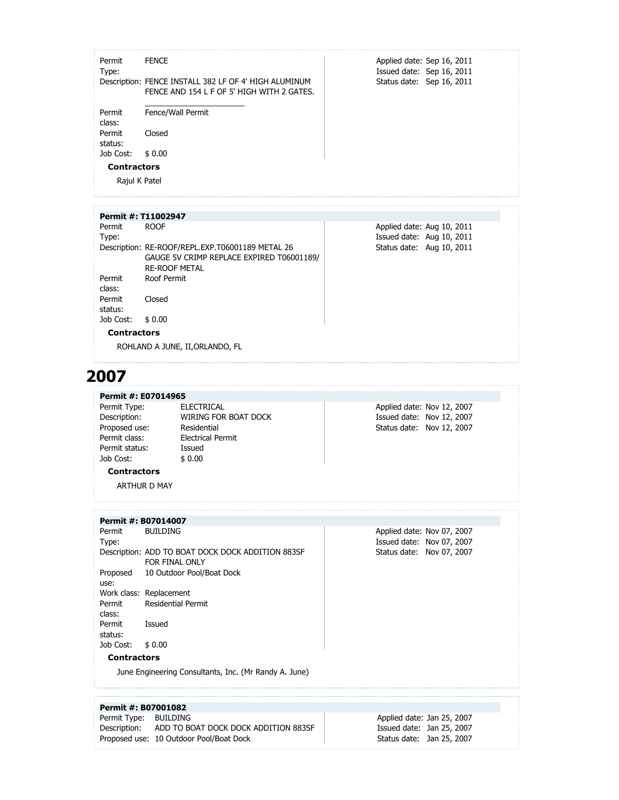| Permit<br>Type:    | <b>FENCE</b>                                                                                        | Applied date: Sep 16, 2011<br>Issued date: Sep 16, 2011 |
|--------------------|-----------------------------------------------------------------------------------------------------|---------------------------------------------------------|
|                    | Description: FENCE INSTALL 382 LF OF 4' HIGH ALUMINUM<br>FENCE AND 154 L F OF 5' HIGH WITH 2 GATES. | Status date: Sep 16, 2011                               |
| Permit             | Fence/Wall Permit                                                                                   |                                                         |
| class:             |                                                                                                     |                                                         |
| Permit<br>status:  | Closed                                                                                              |                                                         |
| Job Cost:          | \$0.00                                                                                              |                                                         |
| <b>Contractors</b> |                                                                                                     |                                                         |
| Rajul K Patel      |                                                                                                     |                                                         |

|                    | Permit #: T11002947                              |                            |  |  |
|--------------------|--------------------------------------------------|----------------------------|--|--|
| Permit             | <b>ROOF</b>                                      | Applied date: Aug 10, 2011 |  |  |
| Type:              |                                                  | Issued date: Aug 10, 2011  |  |  |
|                    | Description: RE-ROOF/REPL.EXP.T06001189 METAL 26 | Status date: Aug 10, 2011  |  |  |
|                    | GAUGE 5V CRIMP REPLACE EXPIRED T06001189/        |                            |  |  |
|                    | <b>RE-ROOF METAL</b>                             |                            |  |  |
| Permit             | Roof Permit                                      |                            |  |  |
| class:             |                                                  |                            |  |  |
| Permit             | Closed                                           |                            |  |  |
| status:            |                                                  |                            |  |  |
| Job Cost:          | \$0.00                                           |                            |  |  |
| <b>Contractors</b> |                                                  |                            |  |  |

ROHLAND A JUNE, II,ORLANDO, FL

### **2007**

**Permit #: E07014965**

Permit Type: ELECTRICAL<br>Description: WIRING FOR Proposed use: Permit class: Electrical Permit Permit status: Issued Job Cost: \$ 0.00

WIRING FOR BOAT DOCK<br>Residential

Applied date: Nov 12, 2007 Issued date: Nov 12, 2007 Status date: Nov 12, 2007

Applied date: Nov 07, 2007 Issued date: Nov 07, 2007 Status date: Nov 07, 2007

**Contractors** ARTHUR D MAY

#### **Permit #: B07014007**

Permit Type: BUILDING Description: ADD TO BOAT DOCK DOCK ADDITION 883SF FOR FINAL ONLY Proposed use: 10 Outdoor Pool/Boat Dock Work class: Replacement Permit class: Residential Permit Permit status: Issued Job Cost: \$ 0.00

**Contractors**

June Engineering Consultants, Inc. (Mr Randy A. June)

| Permit #: B07001082   |                                                   |                            |  |
|-----------------------|---------------------------------------------------|----------------------------|--|
| Permit Type: BUILDING |                                                   | Applied date: Jan 25, 2007 |  |
|                       | Description: ADD TO BOAT DOCK DOCK ADDITION 883SF | Issued date: Jan 25, 2007  |  |
|                       | Proposed use: 10 Outdoor Pool/Boat Dock           | Status date: Jan 25, 2007  |  |
|                       |                                                   |                            |  |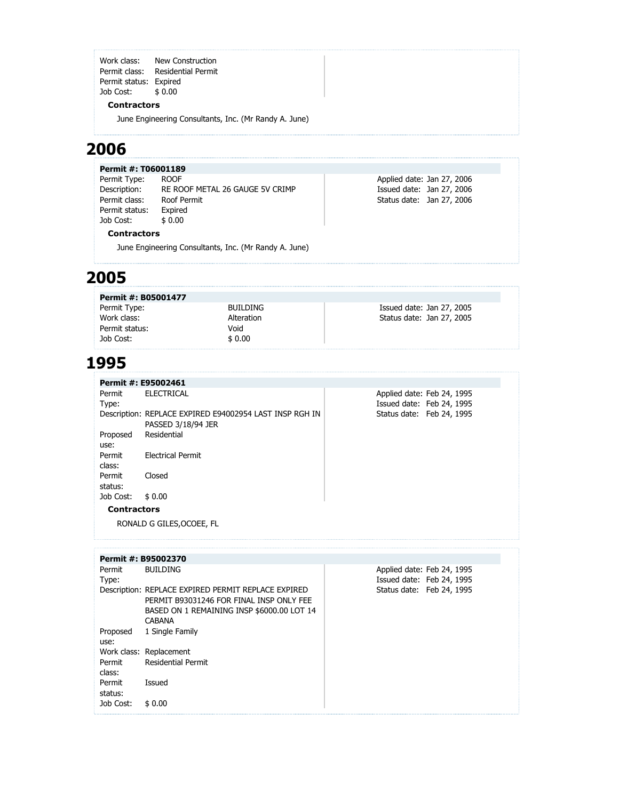Work class: New Construction Permit class: Residential Permit Permit status: Expired Job Cost: \$ 0.00

#### **Contractors**

June Engineering Consultants, Inc. (Mr Randy A. June)

### **2006**

|  | Permit #: T06001189 |
|--|---------------------|
|  |                     |

Permit Type: ROOF Description: RE ROOF METAL 26 GAUGE 5V CRIMP Permit class: Roof Permit Permit status: Expired Job Cost: \$ 0.00

#### **Contractors**

June Engineering Consultants, Inc. (Mr Randy A. June)

#### **2005**

| Permit #: B05001477 |                 |                           |
|---------------------|-----------------|---------------------------|
| Permit Type:        | <b>BUILDING</b> | Issued date: Jan 27, 2005 |
| Work class:         | Alteration      | Status date: Jan 27, 2005 |
| Permit status:      | Void            |                           |
| Job Cost:           | \$0.00          |                           |

Applied date: Jan 27, 2006 Issued date: Jan 27, 2006 Status date: Jan 27, 2006

#### **1995**

|                    | Permit #: E95002461                                                           |                            |  |
|--------------------|-------------------------------------------------------------------------------|----------------------------|--|
| Permit             | <b>ELECTRICAL</b>                                                             | Applied date: Feb 24, 1995 |  |
| Type:              |                                                                               | Issued date: Feb 24, 1995  |  |
|                    | Description: REPLACE EXPIRED E94002954 LAST INSP RGH IN<br>PASSED 3/18/94 JER | Status date: Feb 24, 1995  |  |
| Proposed<br>use:   | Residential                                                                   |                            |  |
| Permit<br>class:   | Electrical Permit                                                             |                            |  |
| Permit<br>status:  | Closed                                                                        |                            |  |
| Job Cost:          | \$0.00                                                                        |                            |  |
| <b>Contractors</b> |                                                                               |                            |  |
|                    | RONALD G GILES, OCOEE, FL                                                     |                            |  |

|                   | Permit #: B95002370                                                                                                                                            |                                                         |
|-------------------|----------------------------------------------------------------------------------------------------------------------------------------------------------------|---------------------------------------------------------|
| Permit<br>Type:   | <b>BUILDING</b>                                                                                                                                                | Applied date: Feb 24, 1995<br>Issued date: Feb 24, 1995 |
|                   | Description: REPLACE EXPIRED PERMIT REPLACE EXPIRED<br>PERMIT B93031246 FOR FINAL INSP ONLY FEE<br>BASED ON 1 REMAINING INSP \$6000.00 LOT 14<br><b>CABANA</b> | Status date: Feb 24, 1995                               |
| Proposed<br>use:  | 1 Single Family                                                                                                                                                |                                                         |
|                   | Work class: Replacement                                                                                                                                        |                                                         |
| Permit<br>class:  | <b>Residential Permit</b>                                                                                                                                      |                                                         |
| Permit<br>status: | Issued                                                                                                                                                         |                                                         |
| Job Cost:         | \$0.00                                                                                                                                                         |                                                         |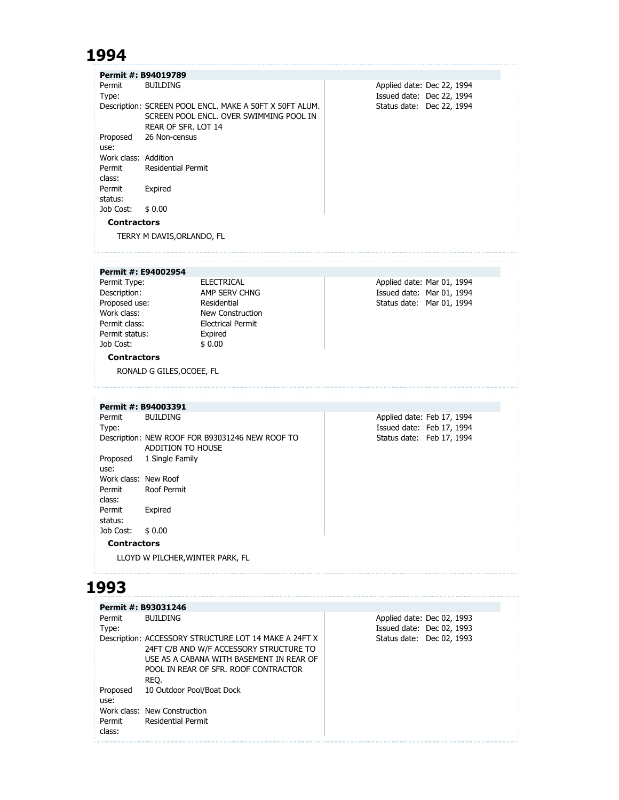### **1994**

|                      | Permit #: B94019789                                     |                            |
|----------------------|---------------------------------------------------------|----------------------------|
| Permit               | <b>BUILDING</b>                                         | Applied date: Dec 22, 1994 |
| Type:                |                                                         | Issued date: Dec 22, 1994  |
|                      | Description: SCREEN POOL ENCL. MAKE A 50FT X 50FT ALUM. | Status date: Dec 22, 1994  |
|                      | SCREEN POOL ENCL. OVER SWIMMING POOL IN                 |                            |
|                      | REAR OF SFR. LOT 14                                     |                            |
| Proposed             | 26 Non-census                                           |                            |
| use:                 |                                                         |                            |
| Work class: Addition |                                                         |                            |
| Permit               | <b>Residential Permit</b>                               |                            |
| class:               |                                                         |                            |
| Permit               | Expired                                                 |                            |
| status:              |                                                         |                            |
| Job Cost:            | \$0.00                                                  |                            |
| <b>Contractors</b>   |                                                         |                            |

TERRY M DAVIS,ORLANDO, FL

#### **Permit #: E94002954**

Permit Type: ELECTRICAL Proposed use:<br>Work class: Permit status: Expired<br>Job Cost:  $$0.00$ Job Cost:

Description: AMP SERV CHNG<br>Proposed use: Residential<br>Work class: New Construction Work class:<br>
Permit class:<br>
Permit class:<br>
Electrical Permit **Electrical Permit** 

Applied date: Mar 01, 1994 Issued date: Mar 01, 1994 Status date: Mar 01, 1994

#### **Contractors**

RONALD G GILES,OCOEE, FL

#### **Permit #: B94003391**

Permit Type: BUILDING Description: NEW ROOF FOR B93031246 NEW ROOF TO ADDITION TO HOUSE Proposed 1 Single Family use: Work class: New Roof Permit Roof Permit class: Permit status: Expired Job Cost: \$ 0.00

Applied date: Feb 17, 1994 Issued date: Feb 17, 1994 Status date: Feb 17, 1994

#### **Contractors**

LLOYD W PILCHER,WINTER PARK, FL

### **1993**

|          | Permit #: B93031246                                   |                            |  |
|----------|-------------------------------------------------------|----------------------------|--|
| Permit   | <b>BUILDING</b>                                       | Applied date: Dec 02, 1993 |  |
| Type:    |                                                       | Issued date: Dec 02, 1993  |  |
|          | Description: ACCESSORY STRUCTURE LOT 14 MAKE A 24FT X | Status date: Dec 02, 1993  |  |
|          | 24FT C/B AND W/F ACCESSORY STRUCTURE TO               |                            |  |
|          | USE AS A CABANA WITH BASEMENT IN REAR OF              |                            |  |
|          | POOL IN REAR OF SFR. ROOF CONTRACTOR                  |                            |  |
|          | REO.                                                  |                            |  |
| Proposed | 10 Outdoor Pool/Boat Dock                             |                            |  |
| use:     |                                                       |                            |  |
|          | Work class: New Construction                          |                            |  |
| Permit   | Residential Permit                                    |                            |  |
| class:   |                                                       |                            |  |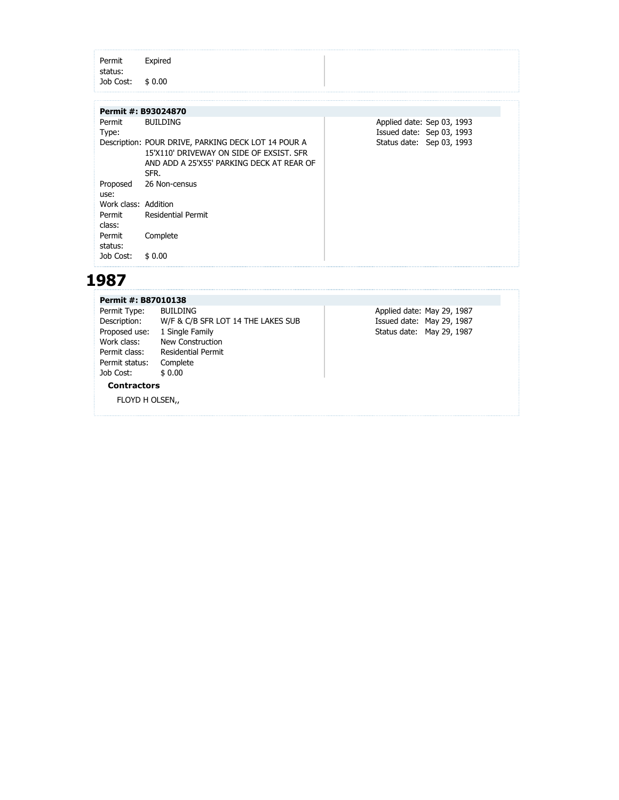| status:   |                                                     |  |                            |  |
|-----------|-----------------------------------------------------|--|----------------------------|--|
| Job Cost: | \$0.00                                              |  |                            |  |
|           |                                                     |  |                            |  |
|           | Permit #: B93024870                                 |  |                            |  |
| Permit    | <b>BUILDING</b>                                     |  | Applied date: Sep 03, 1993 |  |
| Type:     |                                                     |  | Issued date: Sep 03, 1993  |  |
|           | Description: POUR DRIVE, PARKING DECK LOT 14 POUR A |  | Status date: Sep 03, 1993  |  |
|           | 15'X110' DRIVEWAY ON SIDE OF EXSIST. SFR            |  |                            |  |
|           | AND ADD A 25'X55' PARKING DECK AT REAR OF           |  |                            |  |
|           | SFR                                                 |  |                            |  |

| use:                 |                           |
|----------------------|---------------------------|
| Work class: Addition |                           |
| Permit               | <b>Residential Permit</b> |
| class:               |                           |
| Permit               | Complete                  |
| status:              |                           |
| Job Cost: \$ 0.00    |                           |
|                      |                           |

### **1987**

Proposed 26 Non-census

| Permit #: B87010138 |                                    |                            |  |  |  |  |  |
|---------------------|------------------------------------|----------------------------|--|--|--|--|--|
| Permit Type:        | <b>BUILDING</b>                    | Applied date: May 29, 1987 |  |  |  |  |  |
| Description:        | W/F & C/B SFR LOT 14 THE LAKES SUB | Issued date: May 29, 1987  |  |  |  |  |  |
| Proposed use:       | 1 Single Family                    | Status date: May 29, 1987  |  |  |  |  |  |
| Work class:         | New Construction                   |                            |  |  |  |  |  |
| Permit class:       | <b>Residential Permit</b>          |                            |  |  |  |  |  |
| Permit status:      | Complete                           |                            |  |  |  |  |  |
| Job Cost:           | \$0.00                             |                            |  |  |  |  |  |
| <b>Contractors</b>  |                                    |                            |  |  |  |  |  |
| FLOYD H OLSEN,      |                                    |                            |  |  |  |  |  |
|                     |                                    |                            |  |  |  |  |  |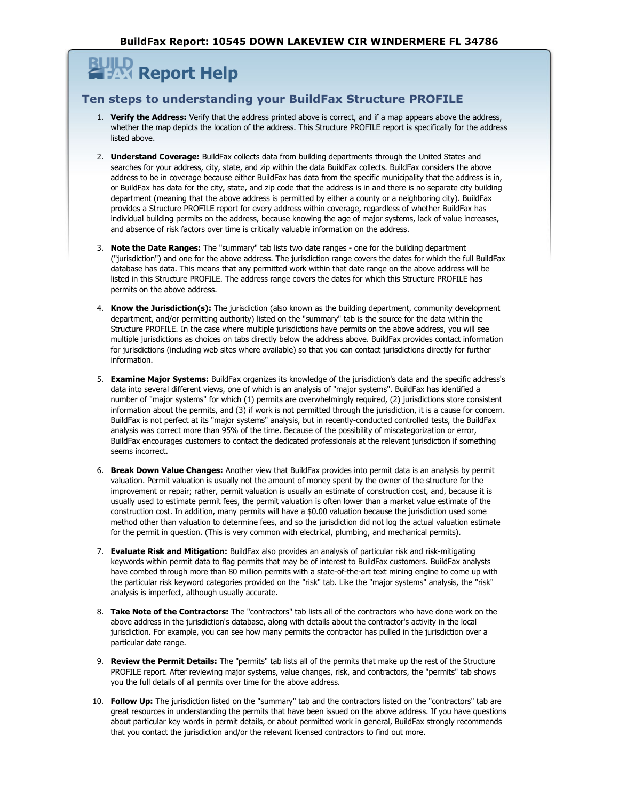## **Report Help**

#### **Ten steps to understanding your BuildFax Structure PROFILE**

- 1. **Verify the Address:** Verify that the address printed above is correct, and if a map appears above the address, whether the map depicts the location of the address. This Structure PROFILE report is specifically for the address listed above.
- 2. **Understand Coverage:** BuildFax collects data from building departments through the United States and searches for your address, city, state, and zip within the data BuildFax collects. BuildFax considers the above address to be in coverage because either BuildFax has data from the specific municipality that the address is in, or BuildFax has data for the city, state, and zip code that the address is in and there is no separate city building department (meaning that the above address is permitted by either a county or a neighboring city). BuildFax provides a Structure PROFILE report for every address within coverage, regardless of whether BuildFax has individual building permits on the address, because knowing the age of major systems, lack of value increases, and absence of risk factors over time is critically valuable information on the address.
- 3. **Note the Date Ranges:** The "summary" tab lists two date ranges one for the building department ("jurisdiction") and one for the above address. The jurisdiction range covers the dates for which the full BuildFax database has data. This means that any permitted work within that date range on the above address will be listed in this Structure PROFILE. The address range covers the dates for which this Structure PROFILE has permits on the above address.
- 4. **Know the Jurisdiction(s):** The jurisdiction (also known as the building department, community development department, and/or permitting authority) listed on the "summary" tab is the source for the data within the Structure PROFILE. In the case where multiple jurisdictions have permits on the above address, you will see multiple jurisdictions as choices on tabs directly below the address above. BuildFax provides contact information for jurisdictions (including web sites where available) so that you can contact jurisdictions directly for further information.
- 5. **Examine Major Systems:** BuildFax organizes its knowledge of the jurisdiction's data and the specific address's data into several different views, one of which is an analysis of "major systems". BuildFax has identified a number of "major systems" for which (1) permits are overwhelmingly required, (2) jurisdictions store consistent information about the permits, and (3) if work is not permitted through the jurisdiction, it is a cause for concern. BuildFax is not perfect at its "major systems" analysis, but in recently-conducted controlled tests, the BuildFax analysis was correct more than 95% of the time. Because of the possibility of miscategorization or error, BuildFax encourages customers to contact the dedicated professionals at the relevant jurisdiction if something seems incorrect.
- 6. **Break Down Value Changes:** Another view that BuildFax provides into permit data is an analysis by permit valuation. Permit valuation is usually not the amount of money spent by the owner of the structure for the improvement or repair; rather, permit valuation is usually an estimate of construction cost, and, because it is usually used to estimate permit fees, the permit valuation is often lower than a market value estimate of the construction cost. In addition, many permits will have a \$0.00 valuation because the jurisdiction used some method other than valuation to determine fees, and so the jurisdiction did not log the actual valuation estimate for the permit in question. (This is very common with electrical, plumbing, and mechanical permits).
- 7. **Evaluate Risk and Mitigation:** BuildFax also provides an analysis of particular risk and risk-mitigating keywords within permit data to flag permits that may be of interest to BuildFax customers. BuildFax analysts have combed through more than 80 million permits with a state-of-the-art text mining engine to come up with the particular risk keyword categories provided on the "risk" tab. Like the "major systems" analysis, the "risk" analysis is imperfect, although usually accurate.
- 8. **Take Note of the Contractors:** The "contractors" tab lists all of the contractors who have done work on the above address in the jurisdiction's database, along with details about the contractor's activity in the local jurisdiction. For example, you can see how many permits the contractor has pulled in the jurisdiction over a particular date range.
- 9. **Review the Permit Details:** The "permits" tab lists all of the permits that make up the rest of the Structure PROFILE report. After reviewing major systems, value changes, risk, and contractors, the "permits" tab shows you the full details of all permits over time for the above address.
- 10. **Follow Up:** The jurisdiction listed on the "summary" tab and the contractors listed on the "contractors" tab are great resources in understanding the permits that have been issued on the above address. If you have questions about particular key words in permit details, or about permitted work in general, BuildFax strongly recommends that you contact the jurisdiction and/or the relevant licensed contractors to find out more.